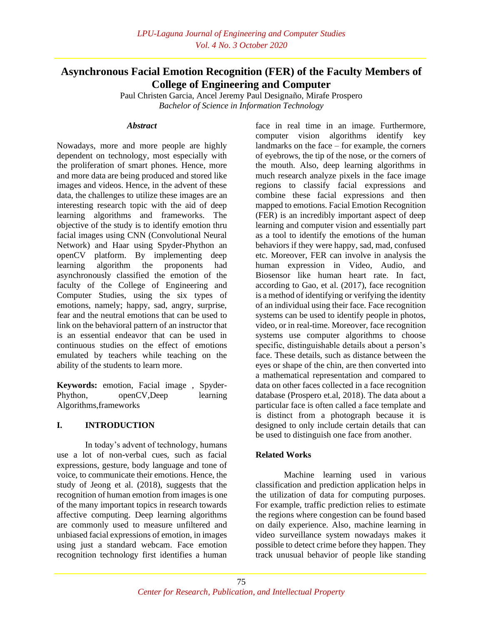# **Asynchronous Facial Emotion Recognition (FER) of the Faculty Members of College of Engineering and Computer**

Paul Christen Garcia, Ancel Jeremy Paul Designaño, Mirafe Prospero *Bachelor of Science in Information Technology*

#### *Abstract*

Nowadays, more and more people are highly dependent on technology, most especially with the proliferation of smart phones. Hence, more and more data are being produced and stored like images and videos. Hence, in the advent of these data, the challenges to utilize these images are an interesting research topic with the aid of deep learning algorithms and frameworks. The objective of the study is to identify emotion thru facial images using CNN (Convolutional Neural Network) and Haar using Spyder-Phython an openCV platform. By implementing deep learning algorithm the proponents had asynchronously classified the emotion of the faculty of the College of Engineering and Computer Studies, using the six types of emotions, namely; happy, sad, angry, surprise, fear and the neutral emotions that can be used to link on the behavioral pattern of an instructor that is an essential endeavor that can be used in continuous studies on the effect of emotions emulated by teachers while teaching on the ability of the students to learn more.

**Keywords:** emotion, Facial image , Spyder-Phython, openCV,Deep learning Algorithms,frameworks

# **I. INTRODUCTION**

In today's advent of technology, humans use a lot of non-verbal cues, such as facial expressions, gesture, body language and tone of voice, to communicate their emotions. Hence, the study of Jeong et al. (2018), suggests that the recognition of human emotion from images is one of the many important topics in research towards affective computing. Deep learning algorithms are commonly used to measure unfiltered and unbiased facial expressions of emotion, in images using just a standard webcam. Face emotion recognition technology first identifies a human

face in real time in an image. Furthermore, computer vision algorithms identify key landmarks on the face – for example, the corners of eyebrows, the tip of the nose, or the corners of the mouth. Also, deep learning algorithms in much research analyze pixels in the face image regions to classify facial expressions and combine these facial expressions and then mapped to emotions. Facial Emotion Recognition (FER) is an incredibly important aspect of deep learning and computer vision and essentially part as a tool to identify the emotions of the human behaviors if they were happy, sad, mad, confused etc. Moreover, FER can involve in analysis the human expression in Video, Audio, and Biosensor like human heart rate. In fact, according to Gao, et al. (2017), face recognition is a method of identifying or verifying the identity of an individual using their face. Face recognition systems can be used to identify people in photos, video, or in real-time. Moreover, face recognition systems use computer algorithms to choose specific, distinguishable details about a person's face. These details, such as distance between the eyes or shape of the chin, are then converted into a mathematical representation and compared to data on other faces collected in a face recognition database (Prospero et.al, 2018). The data about a particular face is often called a face template and is distinct from a photograph because it is designed to only include certain details that can be used to distinguish one face from another.

# **Related Works**

Machine learning used in various classification and prediction application helps in the utilization of data for computing purposes. For example, traffic prediction relies to estimate the regions where congestion can be found based on daily experience. Also, machine learning in video surveillance system nowadays makes it possible to detect crime before they happen. They track unusual behavior of people like standing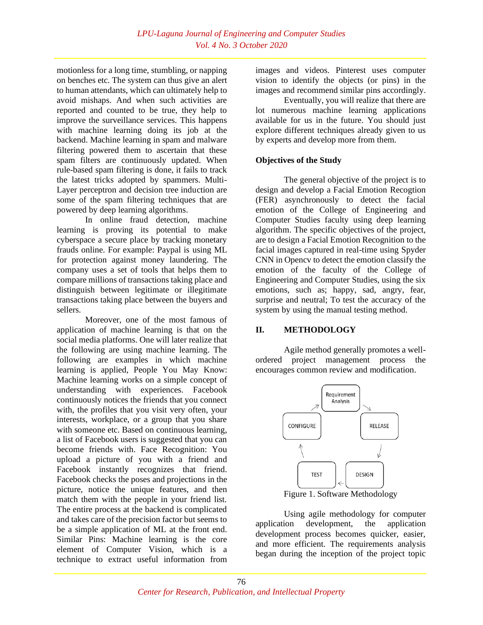motionless for a long time, stumbling, or napping on benches etc. The system can thus give an alert to human attendants, which can ultimately help to avoid mishaps. And when such activities are reported and counted to be true, they help to improve the surveillance services. This happens with machine learning doing its job at the backend. Machine learning in spam and malware filtering powered them to ascertain that these spam filters are continuously updated. When rule-based spam filtering is done, it fails to track the latest tricks adopted by spammers. Multi-Layer perceptron and decision tree induction are some of the spam filtering techniques that are powered by deep learning algorithms.

In online fraud detection, machine learning is proving its potential to make cyberspace a secure place by tracking monetary frauds online. For example: Paypal is using ML for protection against money laundering. The company uses a set of tools that helps them to compare millions of transactions taking place and distinguish between legitimate or illegitimate transactions taking place between the buyers and sellers.

Moreover, one of the most famous of application of machine learning is that on the social media platforms. One will later realize that the following are using machine learning. The following are examples in which machine learning is applied, People You May Know: Machine learning works on a simple concept of understanding with experiences. Facebook continuously notices the friends that you connect with, the profiles that you visit very often, your interests, workplace, or a group that you share with someone etc. Based on continuous learning, a list of Facebook users is suggested that you can become friends with. Face Recognition: You upload a picture of you with a friend and Facebook instantly recognizes that friend. Facebook checks the poses and projections in the picture, notice the unique features, and then match them with the people in your friend list. The entire process at the backend is complicated and takes care of the precision factor but seems to be a simple application of ML at the front end. Similar Pins: Machine learning is the core element of Computer Vision, which is a technique to extract useful information from

images and videos. Pinterest uses computer vision to identify the objects (or pins) in the images and recommend similar pins accordingly.

Eventually, you will realize that there are lot numerous machine learning applications available for us in the future. You should just explore different techniques already given to us by experts and develop more from them.

# **Objectives of the Study**

The general objective of the project is to design and develop a Facial Emotion Recogtion (FER) asynchronously to detect the facial emotion of the College of Engineering and Computer Studies faculty using deep learning algorithm. The specific objectives of the project, are to design a Facial Emotion Recognition to the facial images captured in real-time using Spyder CNN in Opencv to detect the emotion classify the emotion of the faculty of the College of Engineering and Computer Studies, using the six emotions, such as; happy, sad, angry, fear, surprise and neutral; To test the accuracy of the system by using the manual testing method.

# **II. METHODOLOGY**

Agile method generally promotes a wellordered project management process the encourages common review and modification.



Figure 1. Software Methodology

Using agile methodology for computer application development, the application development process becomes quicker, easier, and more efficient. The requirements analysis began during the inception of the project topic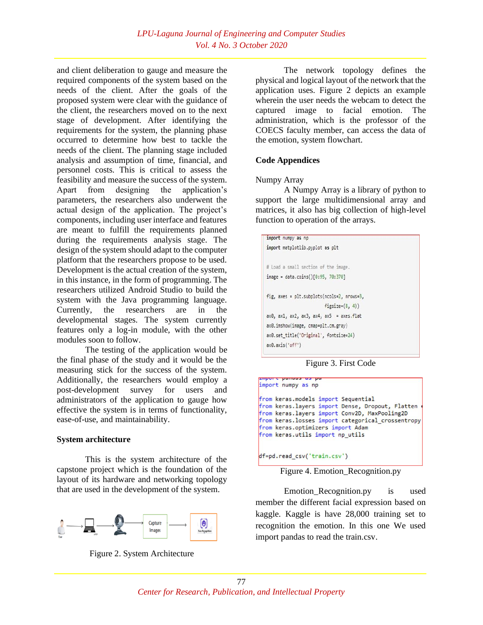and client deliberation to gauge and measure the required components of the system based on the needs of the client. After the goals of the proposed system were clear with the guidance of the client, the researchers moved on to the next stage of development. After identifying the requirements for the system, the planning phase occurred to determine how best to tackle the needs of the client. The planning stage included analysis and assumption of time, financial, and personnel costs. This is critical to assess the feasibility and measure the success of the system. Apart from designing the application's parameters, the researchers also underwent the actual design of the application. The project's components, including user interface and features are meant to fulfill the requirements planned during the requirements analysis stage. The design of the system should adapt to the computer platform that the researchers propose to be used. Development is the actual creation of the system, in this instance, in the form of programming. The researchers utilized Android Studio to build the system with the Java programming language. Currently, the researchers are in the developmental stages. The system currently features only a log-in module, with the other modules soon to follow.

The testing of the application would be the final phase of the study and it would be the measuring stick for the success of the system. Additionally, the researchers would employ a post-development survey for users and administrators of the application to gauge how effective the system is in terms of functionality, ease-of-use, and maintainability.

## **System architecture**

This is the system architecture of the capstone project which is the foundation of the layout of its hardware and networking topology that are used in the development of the system.





The network topology defines the physical and logical layout of the network that the application uses. Figure 2 depicts an example wherein the user needs the webcam to detect the captured image to facial emotion. The administration, which is the professor of the COECS faculty member, can access the data of the emotion, system flowchart.

# **Code Appendices**

#### Numpy Array

A Numpy Array is a library of python to support the large multidimensional array and matrices, it also has big collection of high-level function to operation of the arrays.

| import numpy as np                                          |  |
|-------------------------------------------------------------|--|
| import matplotlib.pyplot as plt                             |  |
| # Load a small section of the image.                        |  |
| $image = data_{coins()[0:95, 70:370]}$                      |  |
| fig, axes = plt.subplots(ncols=2, nrows=3,                  |  |
| $figsize=(8, 4)$                                            |  |
| $ax0$ , $ax1$ , $ax2$ , $ax3$ , $ax4$ , $ax5 = axes$ . Flat |  |
| ax0.imshow(image, cmap=plt.cm.gray)                         |  |
| ax0.set title('Original', fontsize=24)                      |  |
| ax0. axis('off')                                            |  |

Figure 3. First Code

| from keras.models import Sequential                |
|----------------------------------------------------|
| from keras. layers import Dense, Dropout, Flatten  |
| from keras.layers import Conv2D, MaxPooling2D      |
| from keras. losses import categorical crossentropy |
| from keras.optimizers import Adam                  |
| from keras.utils import np utils                   |

df=pd.read\_csv('train.csv')

Figure 4. Emotion\_Recognition.py

Emotion\_Recognition.py is used member the different facial expression based on kaggle. Kaggle is have 28,000 training set to recognition the emotion. In this one We used import pandas to read the train.csv.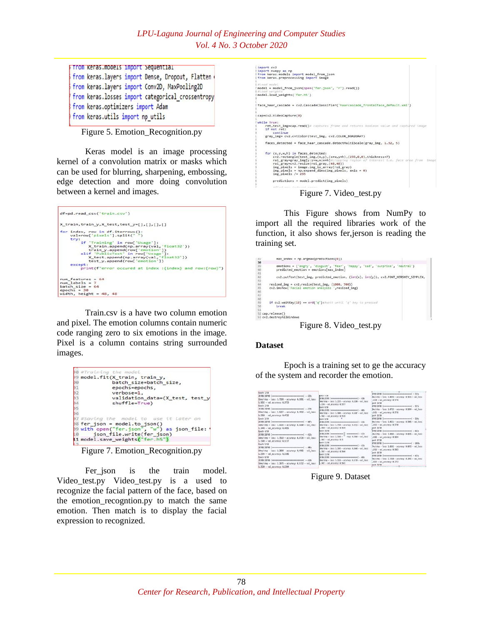| <b>Firom Keras.models import Sequential</b>       |  |  |
|---------------------------------------------------|--|--|
| from keras.layers import Dense, Dropout, Flatten  |  |  |
| from keras.layers import Conv2D, MaxPooling2D     |  |  |
| from keras.losses import categorical crossentropy |  |  |
| from keras.optimizers import Adam                 |  |  |
| from keras.utils import np utils                  |  |  |

Figure 5. Emotion\_Recognition.py

Keras model is an image processing kernel of a convolution matrix or masks which can be used for blurring, sharpening, embossing, edge detection and more doing convolution between a kernel and images.



Train.csv is a have two column emotion and pixel. The emotion columns contain numeric code ranging zero to six emotions in the image. Pixel is a column contains string surrounded images.

|               | 38 #Training the model                      |
|---------------|---------------------------------------------|
|               | 99 model.fit(X train, train y,              |
| BØ.           | batch size=batch size,                      |
|               | epochs=epochs,                              |
| $\frac{1}{2}$ | verbose=1.                                  |
|               | validation_data=(X_test, test_y             |
|               | shuffle=True)                               |
|               |                                             |
|               |                                             |
|               | 37 #Saving the model to use it later on     |
|               | $98$ fer json = model.to json()             |
|               | 99 with open("fer.json", "w") as json file: |
|               | 10 json file.write(fer json)                |
|               | 11 model.save weights ("fer.h5")            |

Figure 7. Emotion\_Recognition.py

Fer json is the train model. Video\_test.py Video\_test.py is a used to recognize the facial pattern of the face, based on the emotion\_recogntion.py to match the same emotion. Then match is to display the facial expression to recognized.

| import cv2                                                                                                                                                                                      |
|-------------------------------------------------------------------------------------------------------------------------------------------------------------------------------------------------|
| import numpy as np                                                                                                                                                                              |
| from keras.models import model from ison                                                                                                                                                        |
| from keras.preprocessing import image                                                                                                                                                           |
| #Lood model                                                                                                                                                                                     |
| model = model from json(open("fer.json", "r").read())<br>#Load weights                                                                                                                          |
| model.load weights("fer.h5")                                                                                                                                                                    |
| face haar cascade = cv2.CascadeClassifier('haarcascade frontalface default.xml')                                                                                                                |
| cap=cv2.VideoCapture(0)                                                                                                                                                                         |
| while True:                                                                                                                                                                                     |
| ret.test img=cap.read()# coptures frome and returns boolean value and coptured image<br>if not ret:<br>continue                                                                                 |
| gray img= cv2.cvtColor(test img, cv2.COLOR BGR2GRAY)                                                                                                                                            |
| faces detected = face haar cascade.detectMultiScale(gray img, 1.32, 5)                                                                                                                          |
| for (x,y,w,h) in faces detected:                                                                                                                                                                |
| cv2.rectangle(test_img,(x,y),(x+w,y+h),(255,0,0),thickness=7)<br>roi_gray=gray_img[y:y+w,x:x+h]#cropping region of interest i.e. face area from image<br>roi gray=cv2.resize(roi gray, (48,48)) |
| $img$ pixels = image.img to array(roi gray)                                                                                                                                                     |
| $img$ pixels = np.expand dims(img pixels, axis = 0)                                                                                                                                             |
| img pixels $/ = 255$                                                                                                                                                                            |
| $predictions = model.predict(img pixels)$                                                                                                                                                       |
| allow pour induced against                                                                                                                                                                      |
| Figure 7 Video test ny                                                                                                                                                                          |

Figure 7. Video\_test.py

This Figure shows from NumPy to import all the required libraries work of the function, it also shows fer,jerson is reading the training set.

| 31                           | max_index = np.argmax(predictions[0])                                                |
|------------------------------|--------------------------------------------------------------------------------------|
| 38                           |                                                                                      |
| 39                           | emotions = ('angry', 'disgust', 'fear', 'happy', 'sad', 'surprise', 'neutral')       |
| 40                           | $predicted$ emotion = emotions $\lceil \text{max index} \rceil$                      |
|                              |                                                                                      |
| $41$<br>$42$<br>$43$<br>$44$ | cv2.putText(test_img, predicted_emotion, (int(x), int(y)), cv2.FONT_HERSHEY_SIMPLEX, |
|                              |                                                                                      |
|                              | resized img = $cv2.resize(test img, (1000, 700))$                                    |
| 45                           | cv2.imshow('Facial emotion analysis ', resized img)                                  |
| 46                           |                                                                                      |
| 47                           |                                                                                      |
| 48                           |                                                                                      |
| 49                           | if cv2.waitKev(10) == ord('a'):#wait until 'a' key is pressed                        |
| 50                           | break.                                                                               |
| 51                           |                                                                                      |
|                              | 52 cap.release()                                                                     |
|                              | 53 cv2.destroyAllWindows                                                             |
|                              | $\Gamma$ 0 II decays and                                                             |

Figure 8. Video\_test.py

#### **Dataset**

Epoch is a training set to ge the accuracy of the system and recorder the emotion.

| Epoch 1/50<br>28709/28709 [www.www.www.www.www.www.www.www.j - 423s<br>15ms/step - loss: 1.7320 - accuracy: 0.2891 - val loss:<br>1,5832 - val. accuracy: 0,3753<br>Epoch 2/50<br>78709/78709 [иниверситетические полного с 4104<br>14ms/step - loss: 1.5237 - accuracy: 0.4012 - val_loss:<br>1.3968 val. accuracy: 0.4722<br>Epoch 3/54<br>28709/28709 [ конониконописаннописаннописа ] - 4075<br>14ms/step - loss: 1.4169 - accuracy: 0.4480 - val_loss:<br>1.3448 - val.accuracy: 0.4855<br>Epoch 4/58<br>28709/28709 [кономикановическое положение ] - 413s<br>14ms/step - loss: 1.3518 - accuracy: 0.4724 - val_loss:<br>1.3149 - val. accuracy: 0.5137<br>Foorh 5/58<br>20700/20700 [интенситетинопринимального] - 4064<br>14ms/stcp - loss: 1.3030 - accuracy: 0.4965 - val_loss:<br>1.2594 - val_accuracy: 0.5106<br>fucch 6/50<br>14ms/step - loss: 1.2675 - accuracy: 0.5112 - val_loss:<br>1.2530 - val_accuracy: 0.5384 | <b>KINLE 1/36</b><br>2070/20709 [ - последним полном полном с 450% / 450%<br>BANA/step - loss: 1.2255 - accuracy: 0.5280 - vol_loss:<br>1.2234 - val. accuracy: 0.5377<br>Ennrh 8/58<br>25709/28709   полноакановическое политическое продукции<br>BAN/step - loss: 1,1988 - accuracy: 0,5387 - val loss:<br>1.1942 - val_accuracy: 8.5519<br>Footh 4/58<br>28709/28709 (инонимическое политическое) - 4145<br>BAN/step - loss: 1.1749 - accuracy: 0.5514 - val.loss:<br>L.1658 - val. accuracy: 8,5619<br>Fooch 18/58<br>$1504/\text{step} - \text{base} 1.1516 - ^{11}$<br>racy: 0.5568 - val loss:<br>2.1647 - val. accuracy: 0.51<br>Rooch 11/58<br>08704/28709 Immunonessessmessessmessess=1 + 415c<br>DAN/step - loss: 1.1345 - accuracy: 0.5648 - wal loss:<br>0.1587 - val. accuracy: 0.5644<br>Fooch 12/58<br>1974-78700 [announcements research 14737-7470]<br>Bles/step - loss: 1,1116 - accuracy: 0,5739 - val.loss:<br>1.5487 - val. accuracy: 0.5661 | 8789/28789 [managements are applicable 2010;120-2878]<br>Bas/step - loss: 1.0876 - accuracy: 0.5831 - wal_loss:<br>$1.1410 - val$ accuracy: 0.5778<br>poch 14/58<br>3709/28709 [morecaseaseaseaseaseaseaseasea] - 5275<br>Bas/step - loss: 1.0732 - accuracy: 0.5894 - wal loss:<br>-,1431 - val accuracy: 0.5716<br>Joch 15/58<br>3709/28709 [ понимание понимание понимание ] - 5205<br>dan/step - loss: 1.0621 - accuracy: 0.5905 - val_loss:<br>$-1615 - vol$ accuracy: 0.5730<br>'poch 16/58<br>(4704/28709 Геналическое политическое продукт) - 662x<br>Jan/step - loss: 1.8484 - accuracy: 0.6835 - val.loss:<br>1,1568 - val. accuracy: 0.5694<br>poch 17/58<br>3709/28709 [инвестративная полности - 18561 ]<br>Ums/step - loss: 1.0261 - accuracy: 0.6072 - wal.loss:<br>.1916 - val accuracy: 0.5683<br>hoch 18/58<br>'6709/28709 [интензиательности состав - 4235<br>Smi/step - loss: 1.7320 - accoracy: 0.2091 - val.loss:<br>.5832 - val accuracy: 0.3753<br><b>WAYN TO/SB</b> |
|--------------------------------------------------------------------------------------------------------------------------------------------------------------------------------------------------------------------------------------------------------------------------------------------------------------------------------------------------------------------------------------------------------------------------------------------------------------------------------------------------------------------------------------------------------------------------------------------------------------------------------------------------------------------------------------------------------------------------------------------------------------------------------------------------------------------------------------------------------------------------------------------------------------------------------------|--------------------------------------------------------------------------------------------------------------------------------------------------------------------------------------------------------------------------------------------------------------------------------------------------------------------------------------------------------------------------------------------------------------------------------------------------------------------------------------------------------------------------------------------------------------------------------------------------------------------------------------------------------------------------------------------------------------------------------------------------------------------------------------------------------------------------------------------------------------------------------------------------------------------------------------------------------------------|----------------------------------------------------------------------------------------------------------------------------------------------------------------------------------------------------------------------------------------------------------------------------------------------------------------------------------------------------------------------------------------------------------------------------------------------------------------------------------------------------------------------------------------------------------------------------------------------------------------------------------------------------------------------------------------------------------------------------------------------------------------------------------------------------------------------------------------------------------------------------------------------------------------------------------------------------------------------------------------------|
|--------------------------------------------------------------------------------------------------------------------------------------------------------------------------------------------------------------------------------------------------------------------------------------------------------------------------------------------------------------------------------------------------------------------------------------------------------------------------------------------------------------------------------------------------------------------------------------------------------------------------------------------------------------------------------------------------------------------------------------------------------------------------------------------------------------------------------------------------------------------------------------------------------------------------------------|--------------------------------------------------------------------------------------------------------------------------------------------------------------------------------------------------------------------------------------------------------------------------------------------------------------------------------------------------------------------------------------------------------------------------------------------------------------------------------------------------------------------------------------------------------------------------------------------------------------------------------------------------------------------------------------------------------------------------------------------------------------------------------------------------------------------------------------------------------------------------------------------------------------------------------------------------------------------|----------------------------------------------------------------------------------------------------------------------------------------------------------------------------------------------------------------------------------------------------------------------------------------------------------------------------------------------------------------------------------------------------------------------------------------------------------------------------------------------------------------------------------------------------------------------------------------------------------------------------------------------------------------------------------------------------------------------------------------------------------------------------------------------------------------------------------------------------------------------------------------------------------------------------------------------------------------------------------------------|

Figure 9. Dataset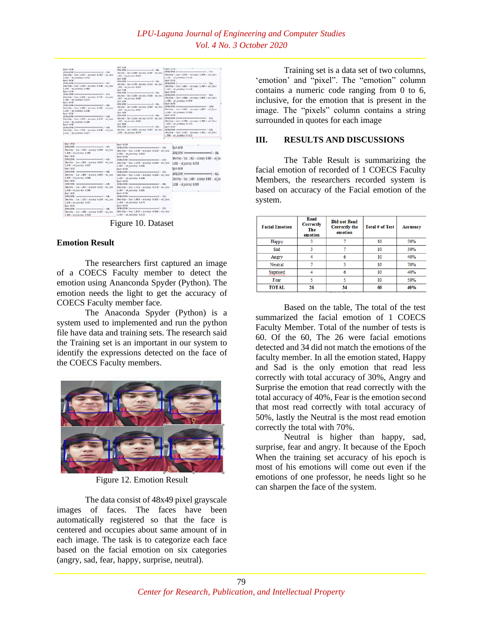| <b>Epoch 29/54</b><br>/БУРБ/ЛСКФЕ [наименованиеменованиеменно] - 4395<br>Shoriteg - Loss: 1.5237 - accuracy: 8.4912 - val.loss:<br>1.596 - val. accuracy: 0.4/22<br>Epoch 28/54<br>25701/25709 [innocencescontents are experienced] < 02/5<br>Simulates - Issu: 1.4369 - accuracy: 0.4480 - val.loss:<br>1.3448 - val. accuracy: 8.4855<br>Esc/> 21/50<br>25781/25789 [ интенсивенное половое полно ( - 4135<br>Sheritap - Isuz: 1.3538 - accuracy: 6.4224 - val_lous:<br>1.5349 - val. accuracy: #.313/<br><b>Epoch 23/54</b><br>26781/26789 [unnonnonnonnonnonnonnonnon] - 4801<br>Sherishep - Issu: 1.3830 - accuracy: 8.4905 - us) loss:<br>1.1594 - wal accuracy: 0.5086<br>Enoch 23/58<br>26781/25789 (Announcementersymmetropyral) - 4126<br>14ec/step - Isss: 1.3675 - accuracy: 0.5312 - val_locc:<br>1.7500 - val. accuracy: 0.5304<br><b>Tocol: 34/58</b><br>JEPELINNE (HORNHOLDSDERSSONSHORNHOLD) - 4381<br>1045/55pp - 1pss: 1.2255 - accuracy: 0.5280 - usl_lass:<br>1.2234 - wal_accuracy: 0.3377 | <b>BICK JECHA</b><br>\$78-70W [accessors-recommend] - 40b<br>ANL/sting - Leon! 1.1988 - accuracy: 8.5387 - val. Leon!<br>$-1942 - m31$ accuracy: 0.5529<br>ash 35%<br>\$30,000 lancescommencements and 416.<br>Ans/stop - loss: 1,1749 - accuracy: 0,5514 - vol. loss:<br>$-3658 - \text{vol}$ accuracy: 0.5613<br>asch 27/58<br>1280/2000 [accessors-components and 40000 [20]<br>Secretary - Least 1,1536 - accuracy: 8,5568 - val. least<br>.1947 - val accuracy: 0.5585<br>asch 28/50<br>\$38/206 [massacessmessmessmessman] - 45c<br>AN/Vive - TANIT 1.1345 - accuracy: 8.5648 - val. TANIT<br>$-1582 - mL$ accuracy: 0.5644<br>pack 29/50<br>S786/25709 Commensummananousnessment] - 4626<br>Senivors - Leno 1,1136 - accuracy: 8,5739 - vel long;<br>$-1402 - \text{vol}$ , accoracio $0.5662$ .<br>lech 56/58<br>8705/2019 [Annonymerocontentented] - 525.<br>Bes/step - Sees) ELBDS - accuracy: B.5831 - val. Sees:<br>$-101 - m1$ scorage: 0.5772 | THESE SPACE CONTROLLED CONTROLLED FOR DECK<br>39390/38300 ( ---<br>. E72 . Interest-terminal property<br>10es/etep - Lose: 1.4732 - acturacy: 8.5094 - vel. lose:<br>1-1431 - val_accuracy: 0.5716<br>Epech 32/38<br>28204/28209 [managements are approximately applied] = 5205<br>IREC/ETAB - LOIE: 1,0621 - ACTURACY: 0,5985 - WAT. TOKET<br>1.1615 - val_accuracy: 0.5730<br>Epech 33/58<br>28769/28769 [moosaxemoconsassemassasses] - 6625<br>ZBes/step - loss: 1,84M - accuracy: 8,6835 - val. loss:<br>1.1568 - val accuracy: 0.5694<br>Feach 34/58<br>28249/28200 (инвентириализационности) - 1956;<br>Elec/chep - Locus 1.4061 - acturacy: 8.6872 - vol.locus<br>1.1916 - val accuracy: 0.5083<br>IBICS JL/18<br>20303/2030 [managementscorespondence] - 4235<br>15ex/sing - Joss: 1,7520 - accuracy: 8,2891 - act loss:<br>$1.980 - val$ accuracy: 0.3253<br><b>Spach, Ja/30</b><br>28709/28709 [innocencescoconconcencesconnes] = 428%<br>1485/5745 - 1015: 1.5237 - acturacy: #.4812 - val.1055:<br>1.1958 - val. accuracy: 0.4722 |
|------------------------------------------------------------------------------------------------------------------------------------------------------------------------------------------------------------------------------------------------------------------------------------------------------------------------------------------------------------------------------------------------------------------------------------------------------------------------------------------------------------------------------------------------------------------------------------------------------------------------------------------------------------------------------------------------------------------------------------------------------------------------------------------------------------------------------------------------------------------------------------------------------------------------------------------------------------------------------------------------------------------|-------------------------------------------------------------------------------------------------------------------------------------------------------------------------------------------------------------------------------------------------------------------------------------------------------------------------------------------------------------------------------------------------------------------------------------------------------------------------------------------------------------------------------------------------------------------------------------------------------------------------------------------------------------------------------------------------------------------------------------------------------------------------------------------------------------------------------------------------------------------------------------------------------------------------------------------------------------|-----------------------------------------------------------------------------------------------------------------------------------------------------------------------------------------------------------------------------------------------------------------------------------------------------------------------------------------------------------------------------------------------------------------------------------------------------------------------------------------------------------------------------------------------------------------------------------------------------------------------------------------------------------------------------------------------------------------------------------------------------------------------------------------------------------------------------------------------------------------------------------------------------------------------------------------------------------------------------------------------------------------------------------------------|
| Esisch 37/51<br>[15791/1579] (encouragements and encouragement) - 4575<br>Clas/step - Loss: 1.4169 - accuracy: 0.4458 - val. loss:<br>1,3448 - vol accuracy: 8,4355<br>Force 18/52<br>28701/23701 (инолимпионнополненности) - 4135<br>Classified - Loss: 1.2512 - accuracy: 0.4724 - vol. loss:<br>3.300 - vsl_socuracy: 8.5137<br>Exect 32/53<br>26703/2570 (иноническое политическое - 406s)<br>Lies/step - Loss: 1.3030 - accuracy: 0.4965 - val_loss:<br>1.2934 - val. восугасу: 0.5106<br>Epech 48/58<br>20701/20703 (инониминизмное полности ) - 4305<br>[Ams/step - loss: 1.3675 - accuracy: 0.5112 - val_loss:<br>1.2530 - vol. accuracy: 0.5304<br>Fact 41/58<br>(1870-17370) (накональная пользования советами) - 4105.<br>Clim/step - Loss: 1.2255 - accuracy: 0.5258 - val.loss:<br>1.2234 - vsl_sccuracy: 8.5377<br>Epach 42/53<br>25705/25701 (кончественности полности - 4385)<br>14ms/step - loss: 1.1988 - accuracy: 0.5387 - val_loss:<br>1.1942 - vol. socuracu: 0.5519<br>÷-                 | Epoch 43/58<br>14ms/step - Toss: 1.1749 - accuracy: 0.5514 - val. Loss:<br>1.1658 - val. accuracy: 0.5619<br>Epoch 44/58<br>15ms/step - loss: 1.1536 - accuracy: 0.5568 - val loss:<br>1.1647 - val accuracy: 0.5585<br>Epoch 45/58<br>28709/28709 [ennennennennennennennennennen] - 415s<br>34m/step - locs: 1.1345 - accuracy: 0.5648 - val locs:<br>1.1587 - wal_accuracy: 0.5644<br>fpoch 46/58<br>16ms/step - Toss: 1.1116 - accuracy: 0.5739 - val.loss:<br>1.1487 - val. accuracy: 0.5661<br>Fooch 47/58<br>28709/28709 [анианианианианианианианианиа] - 5255<br>18ms/step - loss: 1.0876 - accuracy: 0.5831 - val_loss:<br>1.1410 - val_accuracy: 0.5778<br>Epoch 48/58<br>18ms/step - loss: 1,8732 - accuracy: 0,5894 - val loss:<br>1.1431 - val accuracy: 0.5716                                                                                                                                                                                 | <br>Earch <i>W/5B</i><br>2020/378 [mmmmmmmmmmmmmm] - 526<br>(Bre/step - Insc: 1,867) - accuracy: 8,996 - val loss<br>1.1615 - val. accuracy: 0.5739<br>Forch Sk/58<br>2020/2020 [mmmmmmmmmmmmmmmm] - 6525<br>23ns/step - Inss: 1,8484 - accuracy: 8,693 - val loss<br>1.1598 - val. accuracy: 0.5594<br>                                                                                                                                                                                                                                                                                                                                                                                                                                                                                                                                                                                                                                                                                                                                      |

Figure 10. Dataset

#### **Emotion Result**

The researchers first captured an image of a COECS Faculty member to detect the emotion using Ananconda Spyder (Python). The emotion needs the light to get the accuracy of COECS Faculty member face.

The Anaconda Spyder (Python) is a system used to implemented and run the python file have data and training sets. The research said the Training set is an important in our system to identify the expressions detected on the face of the COECS Faculty members.



Figure 12. Emotion Result

The data consist of 48x49 pixel grayscale images of faces. The faces have been automatically registered so that the face is centered and occupies about same amount of in each image. The task is to categorize each face based on the facial emotion on six categories (angry, sad, fear, happy, surprise, neutral).

Training set is a data set of two columns, 'emotion' and "pixel". The "emotion" column contains a numeric code ranging from 0 to 6, inclusive, for the emotion that is present in the image. The "pixels" column contains a string surrounded in quotes for each image

## **III. RESULTS AND DISCUSSIONS**

The Table Result is summarizing the facial emotion of recorded of 1 COECS Faculty Members, the researchers recorded system is based on accuracy of the Facial emotion of the system.

| <b>Facial Emotion</b> | Read<br><b>Correctly</b><br>The<br>emotion | <b>Did not Read</b><br><b>Correctly the</b><br>emotion | <b>Total # of Test</b> | <b>Accuracy</b> |
|-----------------------|--------------------------------------------|--------------------------------------------------------|------------------------|-----------------|
| <b>Happy</b>          |                                            |                                                        | 10                     | 30%             |
| Sad                   |                                            |                                                        | 10                     | 30%             |
| Angry                 |                                            | 6                                                      | 10                     | 40%             |
| Neutral               |                                            | ٩                                                      | 10                     | 70%             |
| Suprised              |                                            | 6                                                      | 10                     | 40%             |
| Fear                  |                                            |                                                        | 10                     | 50%             |
| <b>TOTAL</b>          | 26                                         | 34                                                     | 60                     | 40%             |

Based on the table, The total of the test summarized the facial emotion of 1 COECS Faculty Member. Total of the number of tests is 60. Of the 60, The 26 were facial emotions detected and 34 did not match the emotions of the faculty member. In all the emotion stated, Happy and Sad is the only emotion that read less correctly with total accuracy of 30%, Angry and Surprise the emotion that read correctly with the total accuracy of 40%, Fear is the emotion second that most read correctly with total accuracy of 50%, lastly the Neutral is the most read emotion correctly the total with 70%.

Neutral is higher than happy, sad, surprise, fear and angry. It because of the Epoch When the training set accuracy of his epoch is most of his emotions will come out even if the emotions of one professor, he needs light so he can sharpen the face of the system.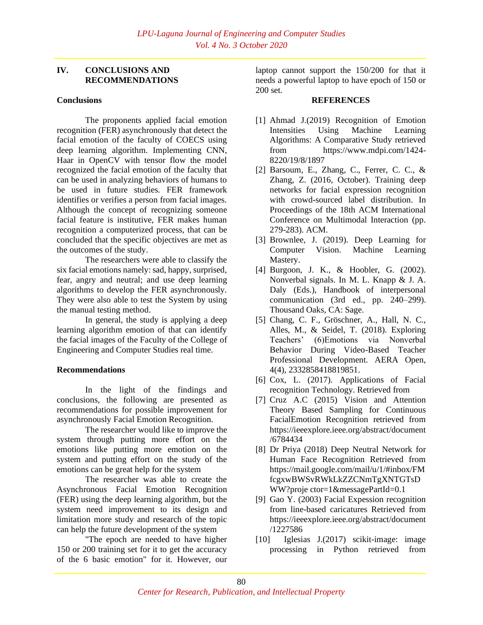# **IV. CONCLUSIONS AND RECOMMENDATIONS**

#### **Conclusions**

The proponents applied facial emotion recognition (FER) asynchronously that detect the facial emotion of the faculty of COECS using deep learning algorithm. Implementing CNN, Haar in OpenCV with tensor flow the model recognized the facial emotion of the faculty that can be used in analyzing behaviors of humans to be used in future studies. FER framework identifies or verifies a person from facial images. Although the concept of recognizing someone facial feature is institutive, FER makes human recognition a computerized process, that can be concluded that the specific objectives are met as the outcomes of the study.

The researchers were able to classify the six facial emotions namely: sad, happy, surprised, fear, angry and neutral; and use deep learning algorithms to develop the FER asynchronously. They were also able to test the System by using the manual testing method.

In general, the study is applying a deep learning algorithm emotion of that can identify the facial images of the Faculty of the College of Engineering and Computer Studies real time.

## **Recommendations**

In the light of the findings and conclusions, the following are presented as recommendations for possible improvement for asynchronously Facial Emotion Recognition.

The researcher would like to improve the system through putting more effort on the emotions like putting more emotion on the system and putting effort on the study of the emotions can be great help for the system

The researcher was able to create the Asynchronous Facial Emotion Recognition (FER) using the deep learning algorithm, but the system need improvement to its design and limitation more study and research of the topic can help the future development of the system

"The epoch are needed to have higher 150 or 200 training set for it to get the accuracy of the 6 basic emotion" for it. However, our

laptop cannot support the 150/200 for that it needs a powerful laptop to have epoch of 150 or 200 set.

#### **REFERENCES**

- [1] Ahmad J.(2019) Recognition of Emotion Intensities Using Machine Learning Algorithms: A Comparative Study retrieved from https://www.mdpi.com/1424- 8220/19/8/1897
- [2] Barsoum, E., Zhang, C., Ferrer, C. C., & Zhang, Z. (2016, October). Training deep networks for facial expression recognition with crowd-sourced label distribution. In Proceedings of the 18th ACM International Conference on Multimodal Interaction (pp. 279-283). ACM.
- [3] Brownlee, J. (2019). Deep Learning for Computer Vision. Machine Learning Mastery.
- [4] Burgoon, J. K., & Hoobler, G. (2002). Nonverbal signals. In M. L. Knapp & J. A. Daly (Eds.), Handbook of interpersonal communication (3rd ed., pp. 240–299). Thousand Oaks, CA: Sage.
- [5] Chang, C. F., Gröschner, A., Hall, N. C., Alles, M., & Seidel, T. (2018). Exploring Teachers' (6)Emotions via Nonverbal Behavior During Video-Based Teacher Professional Development. AERA Open, 4(4), 2332858418819851.
- [6] Cox, L. (2017). Applications of Facial recognition Technology. Retrieved from
- [7] Cruz A.C (2015) Vision and Attention Theory Based Sampling for Continuous FacialEmotion Recognition retrieved from https://ieeexplore.ieee.org/abstract/document /6784434
- [8] Dr Priya (2018) Deep Neutral Network for Human Face Recognition Retrieved from https://mail.google.com/mail/u/1/#inbox/FM fcgxwBWSvRWkLkZZCNmTgXNTGTsD WW?proje ctor=1&messagePartId=0.1
- [9] Gao Y. (2003) Facial Expession recognition from line-based caricatures Retrieved from https://ieeexplore.ieee.org/abstract/document /1227586
- [10] Iglesias J.(2017) scikit-image: image processing in Python retrieved from